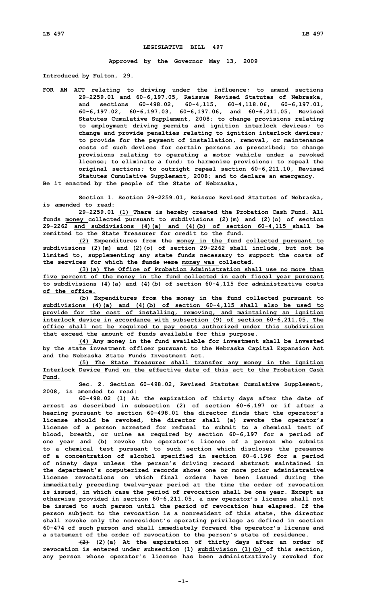## **LEGISLATIVE BILL 497**

**Approved by the Governor May 13, 2009**

**Introduced by Fulton, 29.**

**FOR AN ACT relating to driving under the influence; to amend sections 29-2259.01 and 60-6,197.05, Reissue Revised Statutes of Nebraska, and sections 60-498.02, 60-4,115, 60-4,118.06, 60-6,197.01, 60-6,197.02, 60-6,197.03, 60-6,197.06, and 60-6,211.05, Revised Statutes Cumulative Supplement, 2008; to change provisions relating to employment driving permits and ignition interlock devices; to change and provide penalties relating to ignition interlock devices; to provide for the payment of installation, removal, or maintenance costs of such devices for certain persons as prescribed; to change provisions relating to operating <sup>a</sup> motor vehicle under <sup>a</sup> revoked license; to eliminate <sup>a</sup> fund; to harmonize provisions; to repeal the original sections; to outright repeal section 60-6,211.10, Revised Statutes Cumulative Supplement, 2008; and to declare an emergency.**

**Be it enacted by the people of the State of Nebraska,**

**Section 1. Section 29-2259.01, Reissue Revised Statutes of Nebraska, is amended to read:**

**29-2259.01 (1) There is hereby created the Probation Cash Fund. All funds money collected pursuant to subdivisions (2)(m) and (2)(o) of section 29-2262 and subdivisions (4)(a) and (4)(b) of section 60-4,115 shall be remitted to the State Treasurer for credit to the fund.**

**(2) Expenditures from the money in the fund collected pursuant to subdivisions (2)(m) and (2)(o) of section 29-2262 shall include, but not be limited to, supplementing any state funds necessary to support the costs of the services for which the funds were money was collected.**

**(3)(a) The Office of Probation Administration shall use no more than five percent of the money in the fund collected in each fiscal year pursuant to subdivisions (4)(a) and (4)(b) of section 60-4,115 for administrative costs of the office.**

**(b) Expenditures from the money in the fund collected pursuant to subdivisions (4)(a) and (4)(b) of section 60-4,115 shall also be used to provide for the cost of installing, removing, and maintaining an ignition interlock device in accordance with subsection (9) of section 60-6,211.05. The office shall not be required to pay costs authorized under this subdivision that exceed the amount of funds available for this purpose.**

**(4) Any money in the fund available for investment shall be invested by the state investment officer pursuant to the Nebraska Capital Expansion Act and the Nebraska State Funds Investment Act.**

**(5) The State Treasurer shall transfer any money in the Ignition Interlock Device Fund on the effective date of this act to the Probation Cash Fund.**

**Sec. 2. Section 60-498.02, Revised Statutes Cumulative Supplement, 2008, is amended to read:**

**60-498.02 (1) At the expiration of thirty days after the date of arrest as described in subsection (2) of section 60-6,197 or if after <sup>a</sup> hearing pursuant to section 60-498.01 the director finds that the operator's license should be revoked, the director shall (a) revoke the operator's license of <sup>a</sup> person arrested for refusal to submit to <sup>a</sup> chemical test of blood, breath, or urine as required by section 60-6,197 for <sup>a</sup> period of one year and (b) revoke the operator's license of <sup>a</sup> person who submits to <sup>a</sup> chemical test pursuant to such section which discloses the presence of <sup>a</sup> concentration of alcohol specified in section 60-6,196 for <sup>a</sup> period of ninety days unless the person's driving record abstract maintained in the department's computerized records shows one or more prior administrative license revocations on which final orders have been issued during the immediately preceding twelve-year period at the time the order of revocation is issued, in which case the period of revocation shall be one year. Except as otherwise provided in section 60-6,211.05, <sup>a</sup> new operator's license shall not be issued to such person until the period of revocation has elapsed. If the person subject to the revocation is <sup>a</sup> nonresident of this state, the director shall revoke only the nonresident's operating privilege as defined in section 60-474 of such person and shall immediately forward the operator's license and <sup>a</sup> statement of the order of revocation to the person's state of residence.**

**(2) (2)(a) At the expiration of thirty days after an order of revocation is entered under subsection (1) subdivision (1)(b) of this section, any person whose operator's license has been administratively revoked for**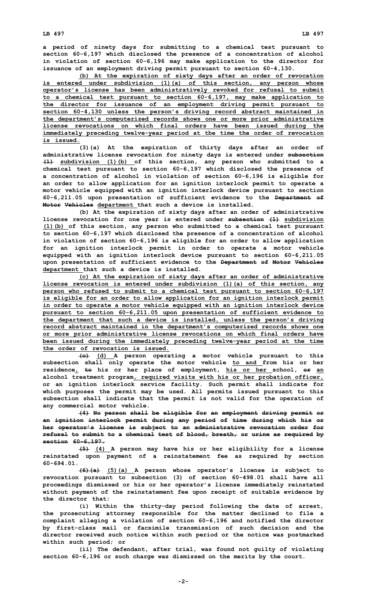**<sup>a</sup> period of ninety days for submitting to <sup>a</sup> chemical test pursuant to section 60-6,197 which disclosed the presence of <sup>a</sup> concentration of alcohol in violation of section 60-6,196 may make application to the director for issuance of an employment driving permit pursuant to section 60-4,130.**

**(b) At the expiration of sixty days after an order of revocation is entered under subdivision (1)(a) of this section, any person whose operator's license has been administratively revoked for refusal to submit to <sup>a</sup> chemical test pursuant to section 60-6,197, may make application to the director for issuance of an employment driving permit pursuant to section 60-4,130 unless the person's driving record abstract maintained in the department's computerized records shows one or more prior administrative license revocations on which final orders have been issued during the immediately preceding twelve-year period at the time the order of revocation is issued.**

**(3)(a) At the expiration of thirty days after an order of administrative license revocation for ninety days is entered under subsection (1) subdivision (1)(b) of this section, any person who submitted to <sup>a</sup> chemical test pursuant to section 60-6,197 which disclosed the presence of <sup>a</sup> concentration of alcohol in violation of section 60-6,196 is eligible for an order to allow application for an ignition interlock permit to operate <sup>a</sup> motor vehicle equipped with an ignition interlock device pursuant to section 60-6,211.05 upon presentation of sufficient evidence to the Department of Motor Vehicles department that such <sup>a</sup> device is installed.**

**(b) At the expiration of sixty days after an order of administrative license revocation for one year is entered under subsection (1) subdivision (1)(b) of this section, any person who submitted to <sup>a</sup> chemical test pursuant to section 60-6,197 which disclosed the presence of <sup>a</sup> concentration of alcohol in violation of section 60-6,196 is eligible for an order to allow application for an ignition interlock permit in order to operate <sup>a</sup> motor vehicle equipped with an ignition interlock device pursuant to section 60-6,211.05 upon presentation of sufficient evidence to the Department of Motor Vehicles department that such <sup>a</sup> device is installed.**

**(c) At the expiration of sixty days after an order of administrative license revocation is entered under subdivision (1)(a) of this section, any person who refused to submit to <sup>a</sup> chemical test pursuant to section 60-6,197 is eligible for an order to allow application for an ignition interlock permit in order to operate <sup>a</sup> motor vehicle equipped with an ignition interlock device pursuant to section 60-6,211.05 upon presentation of sufficient evidence to the department that such <sup>a</sup> device is installed, unless the person's driving record abstract maintained in the department's computerized records shows one or more prior administrative license revocations on which final orders have been issued during the immediately preceding twelve-year period at the time the order of revocation is issued.**

**(c) (d) <sup>A</sup> person operating <sup>a</sup> motor vehicle pursuant to this subsection shall only operate the motor vehicle to and from his or her residence, to his or her place of employment, his or her school, or an alcohol treatment program, required visits with his or her probation officer, or an ignition interlock service facility. Such permit shall indicate for which purposes the permit may be used. All permits issued pursuant to this subsection shall indicate that the permit is not valid for the operation of any commercial motor vehicle.**

**(4) No person shall be eligible for an employment driving permit or an ignition interlock permit during any period of time during which his or her operator's license is subject to an administrative revocation order for refusal to submit to <sup>a</sup> chemical test of blood, breath, or urine as required by section 60-6,197.**

**(5) (4) <sup>A</sup> person may have his or her eligibility for <sup>a</sup> license reinstated upon payment of <sup>a</sup> reinstatement fee as required by section 60-694.01.**

**(6)(a) (5)(a) <sup>A</sup> person whose operator's license is subject to revocation pursuant to subsection (3) of section 60-498.01 shall have all proceedings dismissed or his or her operator's license immediately reinstated without payment of the reinstatement fee upon receipt of suitable evidence by the director that:**

**(i) Within the thirty-day period following the date of arrest, the prosecuting attorney responsible for the matter declined to file <sup>a</sup> complaint alleging <sup>a</sup> violation of section 60-6,196 and notified the director by first-class mail or facsimile transmission of such decision and the director received such notice within such period or the notice was postmarked within such period; or**

**(ii) The defendant, after trial, was found not guilty of violating section 60-6,196 or such charge was dismissed on the merits by the court.**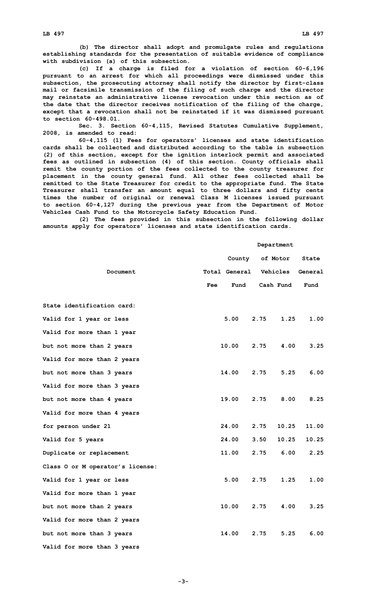**(b) The director shall adopt and promulgate rules and regulations establishing standards for the presentation of suitable evidence of compliance with subdivision (a) of this subsection.**

**(c) If <sup>a</sup> charge is filed for <sup>a</sup> violation of section 60-6,196 pursuant to an arrest for which all proceedings were dismissed under this subsection, the prosecuting attorney shall notify the director by first-class mail or facsimile transmission of the filing of such charge and the director may reinstate an administrative license revocation under this section as of the date that the director receives notification of the filing of the charge, except that <sup>a</sup> revocation shall not be reinstated if it was dismissed pursuant to section 60-498.01.**

**Sec. 3. Section 60-4,115, Revised Statutes Cumulative Supplement, 2008, is amended to read:**

**60-4,115 (1) Fees for operators' licenses and state identification cards shall be collected and distributed according to the table in subsection (2) of this section, except for the ignition interlock permit and associated fees as outlined in subsection (4) of this section. County officials shall remit the county portion of the fees collected to the county treasurer for placement in the county general fund. All other fees collected shall be remitted to the State Treasurer for credit to the appropriate fund. The State Treasurer shall transfer an amount equal to three dollars and fifty cents times the number of original or renewal Class M licenses issued pursuant to section 60-4,127 during the previous year from the Department of Motor Vehicles Cash Fund to the Motorcycle Safety Education Fund.**

**(2) The fees provided in this subsection in the following dollar amounts apply for operators' licenses and state identification cards.**

## **Department**

|                                  |     | County               |      | of Motor  | State   |
|----------------------------------|-----|----------------------|------|-----------|---------|
| Document                         |     | <b>Total General</b> |      | Vehicles  | General |
|                                  | Fee | Fund                 |      | Cash Fund | Fund    |
| State identification card:       |     |                      |      |           |         |
| Valid for 1 year or less         |     | 5.00                 | 2.75 | 1.25      | 1.00    |
| Valid for more than 1 year       |     |                      |      |           |         |
| but not more than 2 years        |     | 10.00                | 2.75 | 4.00      | 3.25    |
| Valid for more than 2 years      |     |                      |      |           |         |
| but not more than 3 years        |     | 14.00                | 2.75 | 5.25      | 6.00    |
| Valid for more than 3 years      |     |                      |      |           |         |
| but not more than 4 years        |     | 19.00                | 2.75 | 8.00      | 8.25    |
| Valid for more than 4 years      |     |                      |      |           |         |
| for person under 21              |     | 24.00                | 2.75 | 10.25     | 11.00   |
| Valid for 5 years                |     | 24.00                | 3.50 | 10.25     | 10.25   |
| Duplicate or replacement         |     | 11.00                | 2.75 | 6.00      | 2.25    |
| Class O or M operator's license: |     |                      |      |           |         |
| Valid for 1 year or less         |     | 5.00                 | 2.75 | 1.25      | 1.00    |
| Valid for more than 1 year       |     |                      |      |           |         |
| but not more than 2 years        |     | 10.00                | 2.75 | 4.00      | 3.25    |
| Valid for more than 2 years      |     |                      |      |           |         |
| but not more than 3 years        |     | 14.00                | 2.75 | 5.25      | 6.00    |
| Valid for more than 3 years      |     |                      |      |           |         |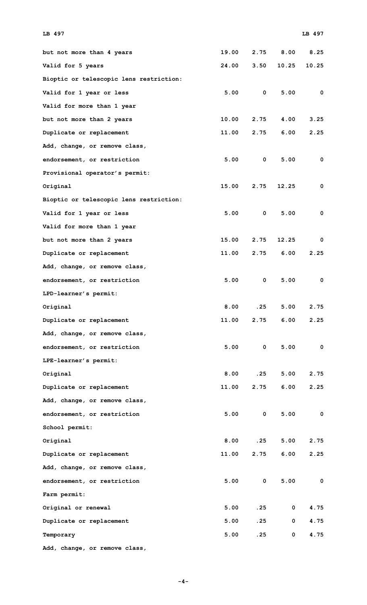| but not more than 4 years               | 19.00 | 2.75        | 8.00        | 8.25  |
|-----------------------------------------|-------|-------------|-------------|-------|
| Valid for 5 years                       | 24.00 | 3.50        | 10.25       | 10.25 |
| Bioptic or telescopic lens restriction: |       |             |             |       |
| Valid for 1 year or less                | 5.00  | 0           | 5.00        | 0     |
| Valid for more than 1 year              |       |             |             |       |
| but not more than 2 years               | 10.00 | 2.75        | 4.00        | 3.25  |
| Duplicate or replacement                | 11.00 | 2.75        | 6.00        | 2.25  |
| Add, change, or remove class,           |       |             |             |       |
| endorsement, or restriction             | 5.00  | $\mathbf 0$ | 5.00        | 0     |
| Provisional operator's permit:          |       |             |             |       |
| Original                                | 15.00 | 2.75        | 12.25       | 0     |
| Bioptic or telescopic lens restriction: |       |             |             |       |
| Valid for 1 year or less                | 5.00  | 0           | 5.00        | 0     |
| Valid for more than 1 year              |       |             |             |       |
| but not more than 2 years               | 15.00 | 2.75        | 12.25       | 0     |
| Duplicate or replacement                | 11.00 | 2.75        | 6.00        | 2.25  |
| Add, change, or remove class,           |       |             |             |       |
| endorsement, or restriction             | 5.00  | $\mathbf 0$ | 5.00        | 0     |
| LPD-learner's permit:                   |       |             |             |       |
| Original                                | 8.00  | .25         | 5.00        | 2.75  |
| Duplicate or replacement                | 11.00 | 2.75        | 6.00        | 2.25  |
| Add, change, or remove class,           |       |             |             |       |
| endorsement, or restriction             | 5.00  | $\mathbf 0$ | 5.00        | 0     |
| LPE-learner's permit:                   |       |             |             |       |
| Original                                | 8.00  | .25         | 5.00        | 2.75  |
| Duplicate or replacement                | 11.00 | 2.75        | 6.00        | 2.25  |
| Add, change, or remove class,           |       |             |             |       |
| endorsement, or restriction             | 5.00  | $\mathbf 0$ | 5.00        | 0     |
| School permit:                          |       |             |             |       |
| Original                                | 8.00  | .25         | 5.00        | 2.75  |
| Duplicate or replacement                | 11.00 | 2.75        | 6.00        | 2.25  |
| Add, change, or remove class,           |       |             |             |       |
| endorsement, or restriction             | 5.00  | 0           | 5.00        | 0     |
| Farm permit:                            |       |             |             |       |
| Original or renewal                     | 5.00  | .25         | 0           | 4.75  |
| Duplicate or replacement                | 5.00  | .25         | $\mathbf 0$ | 4.75  |
| Temporary                               | 5.00  | .25         | 0           | 4.75  |
| Add, change, or remove class,           |       |             |             |       |

## **LB 497 LB 497**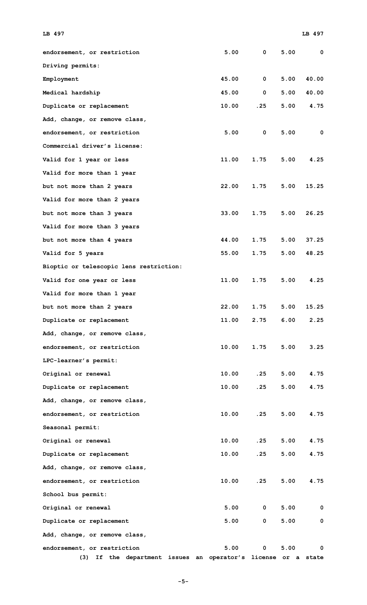| endorsement, or restriction                                | 5.00  | 0            | 5.00 | 0     |
|------------------------------------------------------------|-------|--------------|------|-------|
| Driving permits:                                           |       |              |      |       |
| Employment                                                 | 45.00 | $\mathbf 0$  | 5.00 | 40.00 |
| Medical hardship                                           | 45.00 | $\mathbf{0}$ | 5.00 | 40.00 |
| Duplicate or replacement                                   | 10.00 | .25          | 5.00 | 4.75  |
| Add, change, or remove class,                              |       |              |      |       |
| endorsement, or restriction                                | 5.00  | $\mathbf 0$  | 5.00 | 0     |
| Commercial driver's license:                               |       |              |      |       |
| Valid for 1 year or less                                   | 11.00 | 1.75         | 5.00 | 4.25  |
| Valid for more than 1 year                                 |       |              |      |       |
| but not more than 2 years                                  | 22.00 | 1.75         | 5.00 | 15.25 |
| Valid for more than 2 years                                |       |              |      |       |
| but not more than 3 years                                  | 33.00 | 1.75         | 5.00 | 26.25 |
| Valid for more than 3 years                                |       |              |      |       |
| but not more than 4 years                                  | 44.00 | 1.75         | 5.00 | 37.25 |
| Valid for 5 years                                          | 55.00 | 1.75         | 5.00 | 48.25 |
| Bioptic or telescopic lens restriction:                    |       |              |      |       |
| Valid for one year or less                                 | 11.00 | 1.75         | 5.00 | 4.25  |
| Valid for more than 1 year                                 |       |              |      |       |
| but not more than 2 years                                  | 22.00 | 1.75         | 5.00 | 15.25 |
| Duplicate or replacement                                   | 11.00 | 2.75         | 6.00 | 2.25  |
| Add, change, or remove class,                              |       |              |      |       |
| endorsement, or restriction                                | 10.00 | 1.75         | 5.00 | 3.25  |
| LPC-learner's permit:                                      |       |              |      |       |
| Original or renewal                                        | 10.00 | .25          | 5.00 | 4.75  |
| Duplicate or replacement                                   | 10.00 | .25          | 5.00 | 4.75  |
| Add, change, or remove class,                              |       |              |      |       |
| endorsement, or restriction                                | 10.00 | .25          | 5.00 | 4.75  |
| Seasonal permit:                                           |       |              |      |       |
| Original or renewal                                        | 10.00 | .25          | 5.00 | 4.75  |
| Duplicate or replacement                                   | 10.00 | .25          | 5.00 | 4.75  |
| Add, change, or remove class,                              |       |              |      |       |
| endorsement, or restriction                                | 10.00 | .25          | 5.00 | 4.75  |
| School bus permit:                                         |       |              |      |       |
| Original or renewal                                        | 5.00  | 0            | 5.00 | 0     |
| Duplicate or replacement                                   | 5.00  | 0            | 5.00 | 0     |
| Add, change, or remove class,                              |       |              |      |       |
| endorsement, or restriction                                | 5.00  | 0            | 5.00 | 0     |
| If the department issues an operator's license or a<br>(3) |       |              |      | state |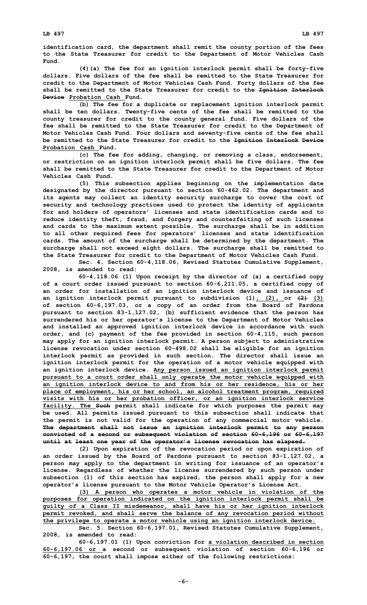**identification card, the department shall remit the county portion of the fees to the State Treasurer for credit to the Department of Motor Vehicles Cash Fund.**

**(4)(a) The fee for an ignition interlock permit shall be forty-five dollars. Five dollars of the fee shall be remitted to the State Treasurer for credit to the Department of Motor Vehicles Cash Fund. Forty dollars of the fee shall be remitted to the State Treasurer for credit to the Ignition Interlock Device Probation Cash Fund.**

**(b) The fee for <sup>a</sup> duplicate or replacement ignition interlock permit shall be ten dollars. Twenty-five cents of the fee shall be remitted to the county treasurer for credit to the county general fund. Five dollars of the fee shall be remitted to the State Treasurer for credit to the Department of Motor Vehicles Cash Fund. Four dollars and seventy-five cents of the fee shall be remitted to the State Treasurer for credit to the Ignition Interlock Device Probation Cash Fund.**

**(c) The fee for adding, changing, or removing <sup>a</sup> class, endorsement, or restriction on an ignition interlock permit shall be five dollars. The fee shall be remitted to the State Treasurer for credit to the Department of Motor Vehicles Cash Fund.**

**(5) This subsection applies beginning on the implementation date designated by the director pursuant to section 60-462.02. The department and its agents may collect an identity security surcharge to cover the cost of security and technology practices used to protect the identity of applicants for and holders of operators' licenses and state identification cards and to reduce identity theft, fraud, and forgery and counterfeiting of such licenses and cards to the maximum extent possible. The surcharge shall be in addition to all other required fees for operators' licenses and state identification cards. The amount of the surcharge shall be determined by the department. The surcharge shall not exceed eight dollars. The surcharge shall be remitted to the State Treasurer for credit to the Department of Motor Vehicles Cash Fund.**

**Sec. 4. Section 60-4,118.06, Revised Statutes Cumulative Supplement, 2008, is amended to read:**

**60-4,118.06 (1) Upon receipt by the director of (a) <sup>a</sup> certified copy of <sup>a</sup> court order issued pursuant to section 60-6,211.05, <sup>a</sup> certified copy of an order for installation of an ignition interlock device and issuance of an ignition interlock permit pursuant to subdivision (1), (2), or (2) (3) of section 60-6,197.03, or <sup>a</sup> copy of an order from the Board of Pardons pursuant to section 83-1,127.02, (b) sufficient evidence that the person has surrendered his or her operator's license to the Department of Motor Vehicles and installed an approved ignition interlock device in accordance with such order, and (c) payment of the fee provided in section 60-4,115, such person may apply for an ignition interlock permit. A person subject to administrative license revocation under section 60-498.02 shall be eligible for an ignition interlock permit as provided in such section. The director shall issue an ignition interlock permit for the operation of <sup>a</sup> motor vehicle equipped with an ignition interlock device. Any person issued an ignition interlock permit pursuant to <sup>a</sup> court order shall only operate the motor vehicle equipped with an ignition interlock device to and from his or her residence, his or her place of employment, his or her school, an alcohol treatment program, required visits with his or her probation officer, or an ignition interlock service facility. The Such permit shall indicate for which purposes the permit may be used. All permits issued pursuant to this subsection shall indicate that the permit is not valid for the operation of any commercial motor vehicle. The department shall not issue an ignition interlock permit to any person convicted of <sup>a</sup> second or subsequent violation of section 60-6,196 or 60-6,197 until at least one year of the operator's license revocation has elapsed.**

**(2) Upon expiration of the revocation period or upon expiration of an order issued by the Board of Pardons pursuant to section 83-1,127.02, <sup>a</sup> person may apply to the department in writing for issuance of an operator's license. Regardless of whether the license surrendered by such person under subsection (1) of this section has expired, the person shall apply for <sup>a</sup> new operator's license pursuant to the Motor Vehicle Operator's License Act.**

**(3) <sup>A</sup> person who operates <sup>a</sup> motor vehicle in violation of the purposes for operation indicated on the ignition interlock permit shall be guilty of <sup>a</sup> Class II misdemeanor, shall have his or her ignition interlock permit revoked, and shall serve the balance of any revocation period without the privilege to operate <sup>a</sup> motor vehicle using an ignition interlock device.**

**Sec. 5. Section 60-6,197.01, Revised Statutes Cumulative Supplement, 2008, is amended to read:**

**60-6,197.01 (1) Upon conviction for <sup>a</sup> violation described in section 60-6,197.06 or <sup>a</sup> second or subsequent violation of section 60-6,196 or 60-6,197, the court shall impose either of the following restrictions:**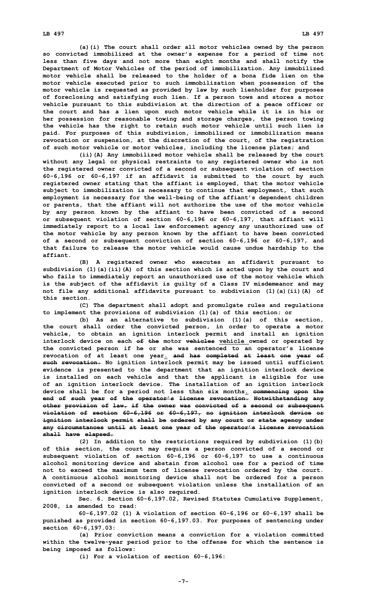**(a)(i) The court shall order all motor vehicles owned by the person so convicted immobilized at the owner's expense for <sup>a</sup> period of time not less than five days and not more than eight months and shall notify the Department of Motor Vehicles of the period of immobilization. Any immobilized motor vehicle shall be released to the holder of a bona fide lien on the motor vehicle executed prior to such immobilization when possession of the motor vehicle is requested as provided by law by such lienholder for purposes of foreclosing and satisfying such lien. If <sup>a</sup> person tows and stores <sup>a</sup> motor vehicle pursuant to this subdivision at the direction of <sup>a</sup> peace officer or the court and has <sup>a</sup> lien upon such motor vehicle while it is in his or her possession for reasonable towing and storage charges, the person towing the vehicle has the right to retain such motor vehicle until such lien is paid. For purposes of this subdivision, immobilized or immobilization means revocation or suspension, at the discretion of the court, of the registration of such motor vehicle or motor vehicles, including the license plates; and**

**(ii)(A) Any immobilized motor vehicle shall be released by the court without any legal or physical restraints to any registered owner who is not the registered owner convicted of <sup>a</sup> second or subsequent violation of section 60-6,196 or 60-6,197 if an affidavit is submitted to the court by such registered owner stating that the affiant is employed, that the motor vehicle subject to immobilization is necessary to continue that employment, that such employment is necessary for the well-being of the affiant's dependent children or parents, that the affiant will not authorize the use of the motor vehicle by any person known by the affiant to have been convicted of <sup>a</sup> second or subsequent violation of section 60-6,196 or 60-6,197, that affiant will immediately report to <sup>a</sup> local law enforcement agency any unauthorized use of the motor vehicle by any person known by the affiant to have been convicted of <sup>a</sup> second or subsequent conviction of section 60-6,196 or 60-6,197, and that failure to release the motor vehicle would cause undue hardship to the affiant.**

**(B) <sup>A</sup> registered owner who executes an affidavit pursuant to subdivision (1)(a)(ii)(A) of this section which is acted upon by the court and who fails to immediately report an unauthorized use of the motor vehicle which is the subject of the affidavit is guilty of <sup>a</sup> Class IV misdemeanor and may not file any additional affidavits pursuant to subdivision (1)(a)(ii)(A) of this section.**

**(C) The department shall adopt and promulgate rules and regulations to implement the provisions of subdivision (1)(a) of this section; or**

**(b) As an alternative to subdivision (1)(a) of this section, the court shall order the convicted person, in order to operate <sup>a</sup> motor vehicle, to obtain an ignition interlock permit and install an ignition interlock device on each of the motor vehicles vehicle owned or operated by the convicted person if he or she was sentenced to an operator's license revocation of at least one year. and has completed at least one year of such revocation. No ignition interlock permit may be issued until sufficient evidence is presented to the department that an ignition interlock device is installed on each vehicle and that the applicant is eligible for use of an ignition interlock device. The installation of an ignition interlock device shall be for <sup>a</sup> period not less than six months. commencing upon the end of such year of the operator's license revocation. Notwithstanding any other provision of law, if the owner was convicted of <sup>a</sup> second or subsequent violation of section 60-6,196 or 60-6,197, no ignition interlock device or ignition interlock permit shall be ordered by any court or state agency under any circumstances until at least one year of the operator's license revocation shall have elapsed.**

**(2) In addition to the restrictions required by subdivision (1)(b) of this section, the court may require <sup>a</sup> person convicted of <sup>a</sup> second or subsequent violation of section 60-6,196 or 60-6,197 to use <sup>a</sup> continuous alcohol monitoring device and abstain from alcohol use for <sup>a</sup> period of time not to exceed the maximum term of license revocation ordered by the court. A continuous alcohol monitoring device shall not be ordered for <sup>a</sup> person convicted of <sup>a</sup> second or subsequent violation unless the installation of an ignition interlock device is also required.**

**Sec. 6. Section 60-6,197.02, Revised Statutes Cumulative Supplement, 2008, is amended to read:**

**60-6,197.02 (1) A violation of section 60-6,196 or 60-6,197 shall be punished as provided in section 60-6,197.03. For purposes of sentencing under section 60-6,197.03:**

**(a) Prior conviction means <sup>a</sup> conviction for <sup>a</sup> violation committed within the twelve-year period prior to the offense for which the sentence is being imposed as follows:**

**(i) For <sup>a</sup> violation of section 60-6,196:**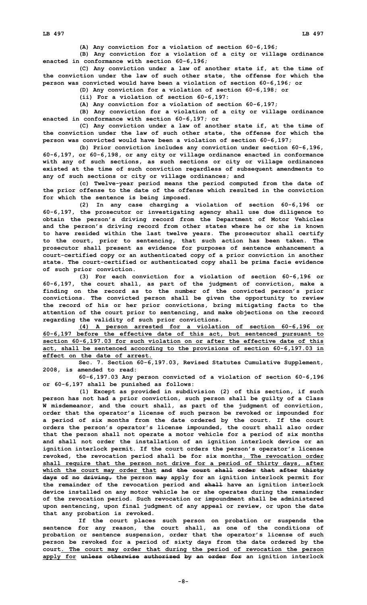**(A) Any conviction for <sup>a</sup> violation of section 60-6,196;**

**(B) Any conviction for <sup>a</sup> violation of <sup>a</sup> city or village ordinance enacted in conformance with section 60-6,196;**

**(C) Any conviction under <sup>a</sup> law of another state if, at the time of the conviction under the law of such other state, the offense for which the person was convicted would have been <sup>a</sup> violation of section 60-6,196; or**

**(D) Any conviction for <sup>a</sup> violation of section 60-6,198; or**

**(ii) For <sup>a</sup> violation of section 60-6,197:**

**(A) Any conviction for <sup>a</sup> violation of section 60-6,197;**

**(B) Any conviction for <sup>a</sup> violation of <sup>a</sup> city or village ordinance enacted in conformance with section 60-6,197; or**

**(C) Any conviction under <sup>a</sup> law of another state if, at the time of the conviction under the law of such other state, the offense for which the person was convicted would have been <sup>a</sup> violation of section 60-6,197;**

**(b) Prior conviction includes any conviction under section 60-6,196, 60-6,197, or 60-6,198, or any city or village ordinance enacted in conformance with any of such sections, as such sections or city or village ordinances existed at the time of such conviction regardless of subsequent amendments to any of such sections or city or village ordinances; and**

**(c) Twelve-year period means the period computed from the date of the prior offense to the date of the offense which resulted in the conviction for which the sentence is being imposed.**

**(2) In any case charging <sup>a</sup> violation of section 60-6,196 or 60-6,197, the prosecutor or investigating agency shall use due diligence to obtain the person's driving record from the Department of Motor Vehicles and the person's driving record from other states where he or she is known to have resided within the last twelve years. The prosecutor shall certify to the court, prior to sentencing, that such action has been taken. The prosecutor shall present as evidence for purposes of sentence enhancement <sup>a</sup> court-certified copy or an authenticated copy of <sup>a</sup> prior conviction in another state. The court-certified or authenticated copy shall be prima facie evidence of such prior conviction.**

**(3) For each conviction for <sup>a</sup> violation of section 60-6,196 or 60-6,197, the court shall, as part of the judgment of conviction, make <sup>a</sup> finding on the record as to the number of the convicted person's prior convictions. The convicted person shall be given the opportunity to review the record of his or her prior convictions, bring mitigating facts to the attention of the court prior to sentencing, and make objections on the record regarding the validity of such prior convictions.**

**(4) <sup>A</sup> person arrested for <sup>a</sup> violation of section 60-6,196 or 60-6,197 before the effective date of this act, but sentenced pursuant to section 60-6,197.03 for such violation on or after the effective date of this act, shall be sentenced according to the provisions of section 60-6,197.03 in effect on the date of arrest.**

**Sec. 7. Section 60-6,197.03, Revised Statutes Cumulative Supplement, 2008, is amended to read:**

**60-6,197.03 Any person convicted of <sup>a</sup> violation of section 60-6,196 or 60-6,197 shall be punished as follows:**

**(1) Except as provided in subdivision (2) of this section, if such person has not had <sup>a</sup> prior conviction, such person shall be guilty of <sup>a</sup> Class W misdemeanor, and the court shall, as part of the judgment of conviction, order that the operator's license of such person be revoked or impounded for <sup>a</sup> period of six months from the date ordered by the court. If the court orders the person's operator's license impounded, the court shall also order that the person shall not operate <sup>a</sup> motor vehicle for <sup>a</sup> period of six months and shall not order the installation of an ignition interlock device or an ignition interlock permit. If the court orders the person's operator's license revoked, the revocation period shall be for six months. The revocation order shall require that the person not drive for <sup>a</sup> period of thirty days, after which the court may order that and the court shall order that after thirty days of no driving, the person may apply for an ignition interlock permit for the remainder of the revocation period and shall have an ignition interlock device installed on any motor vehicle he or she operates during the remainder of the revocation period. Such revocation or impoundment shall be administered upon sentencing, upon final judgment of any appeal or review, or upon the date that any probation is revoked.**

**If the court places such person on probation or suspends the sentence for any reason, the court shall, as one of the conditions of probation or sentence suspension, order that the operator's license of such person be revoked for <sup>a</sup> period of sixty days from the date ordered by the court. The court may order that during the period of revocation the person apply for unless otherwise authorized by an order for an ignition interlock**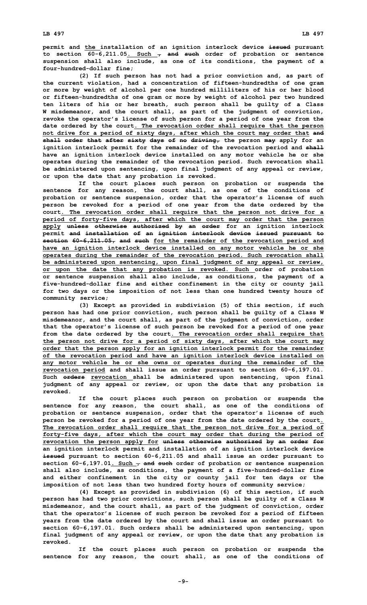**permit and the installation of an ignition interlock device issued pursuant to section 60-6,211.05. Such , and such order of probation or sentence suspension shall also include, as one of its conditions, the payment of <sup>a</sup> four-hundred-dollar fine;**

**(2) If such person has not had <sup>a</sup> prior conviction and, as part of the current violation, had <sup>a</sup> concentration of fifteen-hundredths of one gram or more by weight of alcohol per one hundred milliliters of his or her blood or fifteen-hundredths of one gram or more by weight of alcohol per two hundred ten liters of his or her breath, such person shall be guilty of <sup>a</sup> Class W misdemeanor, and the court shall, as part of the judgment of conviction, revoke the operator's license of such person for <sup>a</sup> period of one year from the date ordered by the court. The revocation order shall require that the person not drive for <sup>a</sup> period of sixty days, after which the court may order that and shall order that after sixty days of no driving, the person may apply for an ignition interlock permit for the remainder of the revocation period and shall have an ignition interlock device installed on any motor vehicle he or she operates during the remainder of the revocation period. Such revocation shall be administered upon sentencing, upon final judgment of any appeal or review, or upon the date that any probation is revoked.**

**If the court places such person on probation or suspends the sentence for any reason, the court shall, as one of the conditions of probation or sentence suspension, order that the operator's license of such person be revoked for <sup>a</sup> period of one year from the date ordered by the court. The revocation order shall require that the person not drive for <sup>a</sup> period of forty-five days, after which the court may order that the person apply unless otherwise authorized by an order for an ignition interlock permit and installation of an ignition interlock device issued pursuant to section 60-6,211.05, and such for the remainder of the revocation period and have an ignition interlock device installed on any motor vehicle he or she operates during the remainder of the revocation period. Such revocation shall be administered upon sentencing, upon final judgment of any appeal or review, or upon the date that any probation is revoked. Such order of probation or sentence suspension shall also include, as conditions, the payment of <sup>a</sup> five-hundred-dollar fine and either confinement in the city or county jail for two days or the imposition of not less than one hundred twenty hours of community service;**

**(3) Except as provided in subdivision (5) of this section, if such person has had one prior conviction, such person shall be guilty of <sup>a</sup> Class W misdemeanor, and the court shall, as part of the judgment of conviction, order that the operator's license of such person be revoked for <sup>a</sup> period of one year from the date ordered by the court. The revocation order shall require that the person not drive for <sup>a</sup> period of sixty days, after which the court may order that the person apply for an ignition interlock permit for the remainder of the revocation period and have an ignition interlock device installed on any motor vehicle he or she owns or operates during the remainder of the revocation period and shall issue an order pursuant to section 60-6,197.01. Such orders revocation shall be administered upon sentencing, upon final judgment of any appeal or review, or upon the date that any probation is revoked.**

**If the court places such person on probation or suspends the sentence for any reason, the court shall, as one of the conditions of probation or sentence suspension, order that the operator's license of such person be revoked for <sup>a</sup> period of one year from the date ordered by the court. The revocation order shall require that the person not drive for <sup>a</sup> period of forty-five days, after which the court may order that during the period of revocation the person apply for unless otherwise authorized by an order for an ignition interlock permit and installation of an ignition interlock device issued pursuant to section 60-6,211.05 and shall issue an order pursuant to section 60-6,197.01. Such , and such order of probation or sentence suspension shall also include, as conditions, the payment of <sup>a</sup> five-hundred-dollar fine and either confinement in the city or county jail for ten days or the imposition of not less than two hundred forty hours of community service;**

**(4) Except as provided in subdivision (6) of this section, if such person has had two prior convictions, such person shall be guilty of <sup>a</sup> Class W misdemeanor, and the court shall, as part of the judgment of conviction, order that the operator's license of such person be revoked for <sup>a</sup> period of fifteen years from the date ordered by the court and shall issue an order pursuant to section 60-6,197.01. Such orders shall be administered upon sentencing, upon final judgment of any appeal or review, or upon the date that any probation is revoked.**

**If the court places such person on probation or suspends the sentence for any reason, the court shall, as one of the conditions of**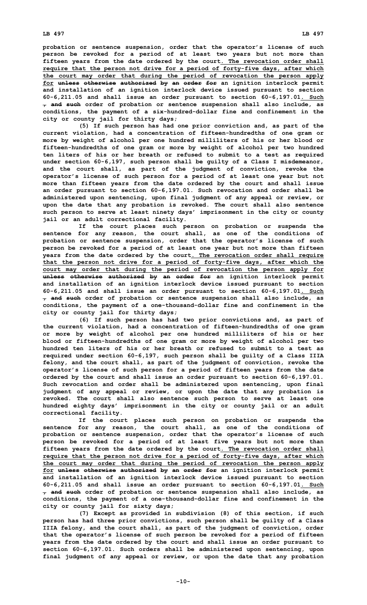## **LB 497 LB 497**

**probation or sentence suspension, order that the operator's license of such person be revoked for <sup>a</sup> period of at least two years but not more than fifteen years from the date ordered by the court. The revocation order shall require that the person not drive for <sup>a</sup> period of forty-five days, after which the court may order that during the period of revocation the person apply for unless otherwise authorized by an order for an ignition interlock permit and installation of an ignition interlock device issued pursuant to section 60-6,211.05 and shall issue an order pursuant to section 60-6,197.01. Such , and such order of probation or sentence suspension shall also include, as conditions, the payment of <sup>a</sup> six-hundred-dollar fine and confinement in the city or county jail for thirty days;**

**(5) If such person has had one prior conviction and, as part of the current violation, had <sup>a</sup> concentration of fifteen-hundredths of one gram or more by weight of alcohol per one hundred milliliters of his or her blood or fifteen-hundredths of one gram or more by weight of alcohol per two hundred ten liters of his or her breath or refused to submit to <sup>a</sup> test as required under section 60-6,197, such person shall be guilty of <sup>a</sup> Class <sup>I</sup> misdemeanor, and the court shall, as part of the judgment of conviction, revoke the operator's license of such person for <sup>a</sup> period of at least one year but not more than fifteen years from the date ordered by the court and shall issue an order pursuant to section 60-6,197.01. Such revocation and order shall be administered upon sentencing, upon final judgment of any appeal or review, or upon the date that any probation is revoked. The court shall also sentence such person to serve at least ninety days' imprisonment in the city or county jail or an adult correctional facility.**

**If the court places such person on probation or suspends the sentence for any reason, the court shall, as one of the conditions of probation or sentence suspension, order that the operator's license of such person be revoked for <sup>a</sup> period of at least one year but not more than fifteen years from the date ordered by the court. The revocation order shall require that the person not drive for <sup>a</sup> period of forty-five days, after which the court may order that during the period of revocation the person apply for unless otherwise authorized by an order for an ignition interlock permit and installation of an ignition interlock device issued pursuant to section 60-6,211.05 and shall issue an order pursuant to section 60-6,197.01. Such , and such order of probation or sentence suspension shall also include, as conditions, the payment of <sup>a</sup> one-thousand-dollar fine and confinement in the city or county jail for thirty days;**

**(6) If such person has had two prior convictions and, as part of the current violation, had <sup>a</sup> concentration of fifteen-hundredths of one gram or more by weight of alcohol per one hundred milliliters of his or her blood or fifteen-hundredths of one gram or more by weight of alcohol per two hundred ten liters of his or her breath or refused to submit to a test as required under section 60-6,197, such person shall be guilty of <sup>a</sup> Class IIIA felony, and the court shall, as part of the judgment of conviction, revoke the operator's license of such person for <sup>a</sup> period of fifteen years from the date ordered by the court and shall issue an order pursuant to section 60-6,197.01. Such revocation and order shall be administered upon sentencing, upon final judgment of any appeal or review, or upon the date that any probation is revoked. The court shall also sentence such person to serve at least one hundred eighty days' imprisonment in the city or county jail or an adult correctional facility.**

**If the court places such person on probation or suspends the sentence for any reason, the court shall, as one of the conditions of probation or sentence suspension, order that the operator's license of such person be revoked for <sup>a</sup> period of at least five years but not more than fifteen years from the date ordered by the court. The revocation order shall require that the person not drive for <sup>a</sup> period of forty-five days, after which the court may order that during the period of revocation the person apply for unless otherwise authorized by an order for an ignition interlock permit and installation of an ignition interlock device issued pursuant to section 60-6,211.05 and shall issue an order pursuant to section 60-6,197.01. Such , and such order of probation or sentence suspension shall also include, as conditions, the payment of <sup>a</sup> one-thousand-dollar fine and confinement in the city or county jail for sixty days;**

**(7) Except as provided in subdivision (8) of this section, if such person has had three prior convictions, such person shall be guilty of <sup>a</sup> Class IIIA felony, and the court shall, as part of the judgment of conviction, order that the operator's license of such person be revoked for <sup>a</sup> period of fifteen years from the date ordered by the court and shall issue an order pursuant to section 60-6,197.01. Such orders shall be administered upon sentencing, upon final judgment of any appeal or review, or upon the date that any probation**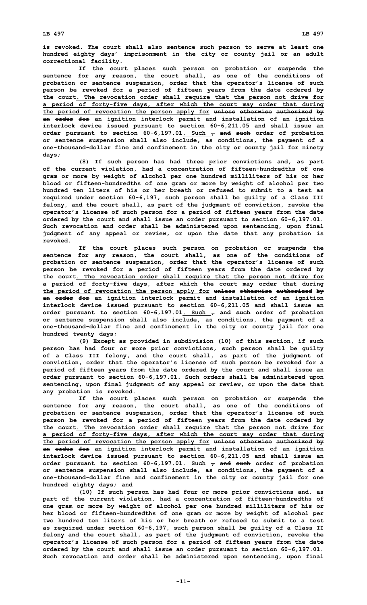**is revoked. The court shall also sentence such person to serve at least one hundred eighty days' imprisonment in the city or county jail or an adult**

**correctional facility. If the court places such person on probation or suspends the sentence for any reason, the court shall, as one of the conditions of probation or sentence suspension, order that the operator's license of such person be revoked for <sup>a</sup> period of fifteen years from the date ordered by the court. The revocation order shall require that the person not drive for <sup>a</sup> period of forty-five days, after which the court may order that during the period of revocation the person apply for unless otherwise authorized by an order for an ignition interlock permit and installation of an ignition interlock device issued pursuant to section 60-6,211.05 and shall issue an order pursuant to section 60-6,197.01. Such , and such order of probation or sentence suspension shall also include, as conditions, the payment of <sup>a</sup> one-thousand-dollar fine and confinement in the city or county jail for ninety days;**

**(8) If such person has had three prior convictions and, as part of the current violation, had <sup>a</sup> concentration of fifteen-hundredths of one gram or more by weight of alcohol per one hundred milliliters of his or her blood or fifteen-hundredths of one gram or more by weight of alcohol per two hundred ten liters of his or her breath or refused to submit to a test as required under section 60-6,197, such person shall be guilty of <sup>a</sup> Class III felony, and the court shall, as part of the judgment of conviction, revoke the operator's license of such person for <sup>a</sup> period of fifteen years from the date ordered by the court and shall issue an order pursuant to section 60-6,197.01. Such revocation and order shall be administered upon sentencing, upon final judgment of any appeal or review, or upon the date that any probation is revoked.**

**If the court places such person on probation or suspends the sentence for any reason, the court shall, as one of the conditions of probation or sentence suspension, order that the operator's license of such person be revoked for <sup>a</sup> period of fifteen years from the date ordered by the court. The revocation order shall require that the person not drive for <sup>a</sup> period of forty-five days, after which the court may order that during the period of revocation the person apply for unless otherwise authorized by an order for an ignition interlock permit and installation of an ignition interlock device issued pursuant to section 60-6,211.05 and shall issue an order pursuant to section 60-6,197.01. Such , and such order of probation or sentence suspension shall also include, as conditions, the payment of <sup>a</sup> one-thousand-dollar fine and confinement in the city or county jail for one hundred twenty days;**

**(9) Except as provided in subdivision (10) of this section, if such person has had four or more prior convictions, such person shall be guilty of <sup>a</sup> Class III felony, and the court shall, as part of the judgment of conviction, order that the operator's license of such person be revoked for <sup>a</sup> period of fifteen years from the date ordered by the court and shall issue an order pursuant to section 60-6,197.01. Such orders shall be administered upon sentencing, upon final judgment of any appeal or review, or upon the date that any probation is revoked.**

**If the court places such person on probation or suspends the sentence for any reason, the court shall, as one of the conditions of probation or sentence suspension, order that the operator's license of such person be revoked for <sup>a</sup> period of fifteen years from the date ordered by the court. The revocation order shall require that the person not drive for <sup>a</sup> period of forty-five days, after which the court may order that during the period of revocation the person apply for unless otherwise authorized by an order for an ignition interlock permit and installation of an ignition interlock device issued pursuant to section 60-6,211.05 and shall issue an order pursuant to section 60-6,197.01. Such , and such order of probation or sentence suspension shall also include, as conditions, the payment of <sup>a</sup> one-thousand-dollar fine and confinement in the city or county jail for one hundred eighty days; and**

**(10) If such person has had four or more prior convictions and, as part of the current violation, had <sup>a</sup> concentration of fifteen-hundredths of one gram or more by weight of alcohol per one hundred milliliters of his or her blood or fifteen-hundredths of one gram or more by weight of alcohol per two hundred ten liters of his or her breath or refused to submit to a test as required under section 60-6,197, such person shall be guilty of <sup>a</sup> Class II felony and the court shall, as part of the judgment of conviction, revoke the operator's license of such person for <sup>a</sup> period of fifteen years from the date ordered by the court and shall issue an order pursuant to section 60-6,197.01. Such revocation and order shall be administered upon sentencing, upon final**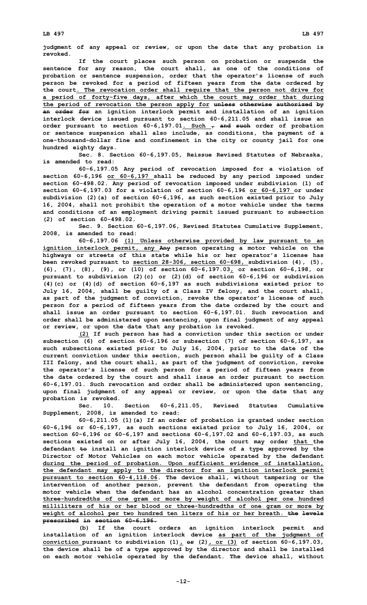**judgment of any appeal or review, or upon the date that any probation is revoked.**

**If the court places such person on probation or suspends the sentence for any reason, the court shall, as one of the conditions of probation or sentence suspension, order that the operator's license of such person be revoked for <sup>a</sup> period of fifteen years from the date ordered by the court. The revocation order shall require that the person not drive for <sup>a</sup> period of forty-five days, after which the court may order that during the period of revocation the person apply for unless otherwise authorized by an order for an ignition interlock permit and installation of an ignition interlock device issued pursuant to section 60-6,211.05 and shall issue an order pursuant to section 60-6,197.01. Such , and such order of probation or sentence suspension shall also include, as conditions, the payment of <sup>a</sup> one-thousand-dollar fine and confinement in the city or county jail for one hundred eighty days.**

**Sec. 8. Section 60-6,197.05, Reissue Revised Statutes of Nebraska, is amended to read:**

**60-6,197.05 Any period of revocation imposed for <sup>a</sup> violation of section 60-6,196 or 60-6,197 shall be reduced by any period imposed under section 60-498.02. Any period of revocation imposed under subdivision (1) of section 60-6,197.03 for <sup>a</sup> violation of section 60-6,196 or 60-6,197 or under subdivision (2)(a) of section 60-6,196, as such section existed prior to July 16, 2004, shall not prohibit the operation of <sup>a</sup> motor vehicle under the terms and conditions of an employment driving permit issued pursuant to subsection (2) of section 60-498.02.**

**Sec. 9. Section 60-6,197.06, Revised Statutes Cumulative Supplement, 2008, is amended to read:**

**60-6,197.06 (1) Unless otherwise provided by law pursuant to an ignition interlock permit, any Any person operating <sup>a</sup> motor vehicle on the highways or streets of this state while his or her operator's license has been revoked pursuant to section 28-306, section 60-698, subdivision (4), (5), (6), (7), (8), (9), or (10) of section 60-6,197.03, or section 60-6,198, or pursuant to subdivision (2)(c) or (2)(d) of section 60-6,196 or subdivision (4)(c) or (4)(d) of section 60-6,197 as such subdivisions existed prior to July 16, 2004, shall be guilty of <sup>a</sup> Class IV felony, and the court shall, as part of the judgment of conviction, revoke the operator's license of such person for <sup>a</sup> period of fifteen years from the date ordered by the court and shall issue an order pursuant to section 60-6,197.01. Such revocation and order shall be administered upon sentencing, upon final judgment of any appeal or review, or upon the date that any probation is revoked.**

**(2) If such person has had <sup>a</sup> conviction under this section or under subsection (6) of section 60-6,196 or subsection (7) of section 60-6,197, as such subsections existed prior to July 16, 2004, prior to the date of the current conviction under this section, such person shall be guilty of <sup>a</sup> Class III felony, and the court shall, as part of the judgment of conviction, revoke the operator's license of such person for <sup>a</sup> period of fifteen years from the date ordered by the court and shall issue an order pursuant to section 60-6,197.01. Such revocation and order shall be administered upon sentencing, upon final judgment of any appeal or review, or upon the date that any probation is revoked.**

**Sec. 10. Section 60-6,211.05, Revised Statutes Cumulative Supplement, 2008, is amended to read:**

**60-6,211.05 (1)(a) If an order of probation is granted under section 60-6,196 or 60-6,197, as such sections existed prior to July 16, 2004, or section 60-6,196 or 60-6,197 and sections 60-6,197.02 and 60-6,197.03, as such sections existed on or after July 16, 2004, the court may order that the defendant to install an ignition interlock device of <sup>a</sup> type approved by the Director of Motor Vehicles on each motor vehicle operated by the defendant during the period of probation. Upon sufficient evidence of installation, the defendant may apply to the director for an ignition interlock permit pursuant to section 60-4,118.06. The device shall, without tampering or the intervention of another person, prevent the defendant from operating the motor vehicle when the defendant has an alcohol concentration greater than three-hundredths of one gram or more by weight of alcohol per one hundred milliliters of his or her blood or three-hundredths of one gram or more by weight of alcohol per two hundred ten liters of his or her breath. the levels prescribed in section 60-6,196.**

**(b) If the court orders an ignition interlock permit and installation of an ignition interlock device as part of the judgment of conviction pursuant to subdivision (1), or (2), or (3) of section 60-6,197.03, the device shall be of <sup>a</sup> type approved by the director and shall be installed on each motor vehicle operated by the defendant. The device shall, without**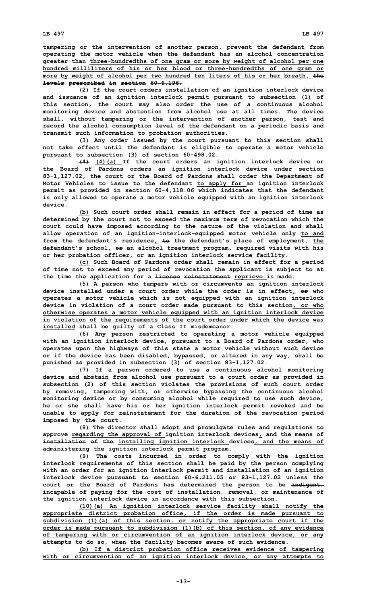**tampering or the intervention of another person, prevent the defendant from operating the motor vehicle when the defendant has an alcohol concentration greater than three-hundredths of one gram or more by weight of alcohol per one hundred milliliters of his or her blood or three-hundredths of one gram or more by weight of alcohol per two hundred ten liters of his or her breath. the levels prescribed in section 60-6,196.**

**(2) If the court orders installation of an ignition interlock device and issuance of an ignition interlock permit pursuant to subsection (1) of this section, the court may also order the use of <sup>a</sup> continuous alcohol monitoring device and abstention from alcohol use at all times. The device shall, without tampering or the intervention of another person, test and record the alcohol consumption level of the defendant on <sup>a</sup> periodic basis and transmit such information to probation authorities.**

**(3) Any order issued by the court pursuant to this section shall not take effect until the defendant is eligible to operate <sup>a</sup> motor vehicle pursuant to subsection (3) of section 60-498.02.**

**(4) (4)(a) If the court orders an ignition interlock device or the Board of Pardons orders an ignition interlock device under section 83-1,127.02, the court or the Board of Pardons shall order the Department of Motor Vehicles to issue to the defendant to apply for an ignition interlock permit as provided in section 60-4,118.06 which indicates that the defendant is only allowed to operate <sup>a</sup> motor vehicle equipped with an ignition interlock device.**

**(b) Such court order shall remain in effect for <sup>a</sup> period of time as determined by the court not to exceed the maximum term of revocation which the court could have imposed according to the nature of the violation and shall allow operation of an ignition-interlock-equipped motor vehicle only to and from the defendant's residence, to the defendant's place of employment, the defendant's school, or an alcohol treatment program, required visits with his or her probation officer, or an ignition interlock service facility.**

**(c) Such Board of Pardons order shall remain in effect for <sup>a</sup> period of time not to exceed any period of revocation the applicant is subject to at the time the application for <sup>a</sup> license reinstatement reprieve is made.**

**(5) <sup>A</sup> person who tampers with or circumvents an ignition interlock device installed under <sup>a</sup> court order while the order is in effect, or who operates <sup>a</sup> motor vehicle which is not equipped with an ignition interlock device in violation of <sup>a</sup> court order made pursuant to this section, or who otherwise operates <sup>a</sup> motor vehicle equipped with an ignition interlock device in violation of the requirements of the court order under which the device was installed shall be guilty of <sup>a</sup> Class II misdemeanor.**

**(6) Any person restricted to operating <sup>a</sup> motor vehicle equipped with an ignition interlock device, pursuant to <sup>a</sup> Board of Pardons order, who operates upon the highways of this state <sup>a</sup> motor vehicle without such device or if the device has been disabled, bypassed, or altered in any way, shall be punished as provided in subsection (3) of section 83-1,127.02.**

**(7) If <sup>a</sup> person ordered to use <sup>a</sup> continuous alcohol monitoring device and abstain from alcohol use pursuant to <sup>a</sup> court order as provided in subsection (2) of this section violates the provisions of such court order by removing, tampering with, or otherwise bypassing the continuous alcohol monitoring device or by consuming alcohol while required to use such device, he or she shall have his or her ignition interlock permit revoked and be unable to apply for reinstatement for the duration of the revocation period imposed by the court.**

**(8) The director shall adopt and promulgate rules and regulations to approve regarding the approval of ignition interlock devices, and the means of installation of the installing ignition interlock devices, and the means of administering the ignition interlock permit program.**

**(9) The costs incurred in order to comply with the ignition interlock requirements of this section shall be paid by the person complying with an order for an ignition interlock permit and installation of an ignition interlock device pursuant to section 60-6,211.05 or 83-1,127.02 unless the court or the Board of Pardons has determined the person to be indigent. incapable of paying for the cost of installation, removal, or maintenance of the ignition interlock device in accordance with this subsection.**

**(10)(a) An ignition interlock service facility shall notify the appropriate district probation office, if the order is made pursuant to subdivision (1)(a) of this section, or notify the appropriate court if the order is made pursuant to subdivision (1)(b) of this section, of any evidence of tampering with or circumvention of an ignition interlock device, or any attempts to do so, when the facility becomes aware of such evidence.**

**(b) If <sup>a</sup> district probation office receives evidence of tampering with or circumvention of an ignition interlock device, or any attempts to**